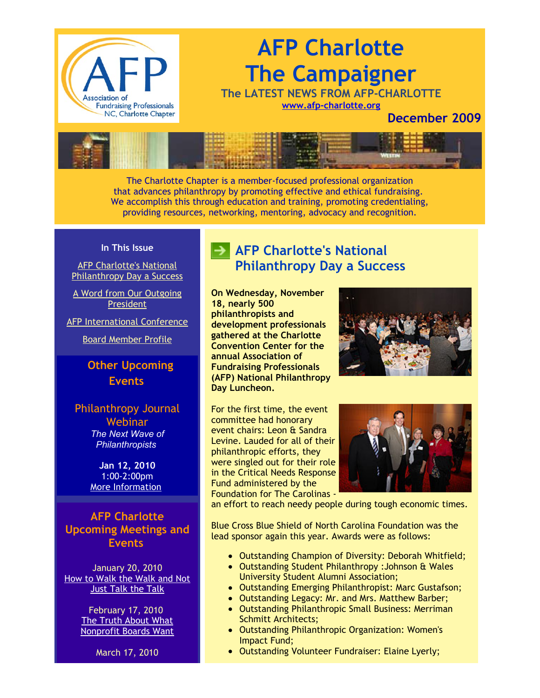

# **AFP Charlotte The Campaigner**

**The LATEST NEWS FROM AFP-CHARLOTTE [www.afp-charlotte.org](http://www.afp-charlotte.org/)**

## **December 2009**



The Charlotte Chapter is a member-focused professional organization that advances philanthropy by promoting effective and ethical fundraising. We accomplish this through education and training, promoting credentialing, providing resources, networking, mentoring, advocacy and recognition.

#### **In This Issue**

AFP Charlotte's National **[Philanthropy Day a Success](http://archive.constantcontact.com/fs051/1101610725496/archive/1102861448723.html#LETTER.BLOCK11)** 

[A Word from Our Outgoing](http://archive.constantcontact.com/fs051/1101610725496/archive/1102861448723.html#LETTER.BLOCK13) President

[AFP International Conference](http://archive.constantcontact.com/fs051/1101610725496/archive/1102861448723.html#LETTER.BLOCK17)

[Board Member Profile](http://archive.constantcontact.com/fs051/1101610725496/archive/1102861448723.html#LETTER.BLOCK15)

## **Other Upcoming Events**

Philanthropy Journal Webinar

*The Next Wave of Philanthropists* 

**Jan 12, 2010** 1:00-2:00pm [More Information](https://www.philanthropyjournal.org/civicrm/event/info?reset=1&id=51)

**AFP Charlotte Upcoming Meetings and Events**

January 20, 2010 [How to Walk the Walk and Not](http://www.afp-charlotte.org/rsvp_details.html?id=2619) **Just Talk the Talk** 

> February 17, 2010 The Truth About What [Nonprofit Boards Want](http://www.afp-charlotte.org/rsvp_details.html?id=2656)

> > March 17, 2010

# **AFP Charlotte's National Philanthropy Day a Success**

**On Wednesday, November 18, nearly 500 philanthropists and development professionals gathered at the Charlotte Convention Center for the annual Association of Fundraising Professionals (AFP) National Philanthropy Day Luncheon.**



For the first time, the event committee had honorary event chairs: Leon & Sandra Levine. Lauded for all of their philanthropic efforts, they were singled out for their role in the Critical Needs Response Fund administered by the Foundation for The Carolinas -



an effort to reach needy people during tough economic times.

Blue Cross Blue Shield of North Carolina Foundation was the lead sponsor again this year. Awards were as follows:

- Outstanding Champion of Diversity: Deborah Whitfield;
- Outstanding Student Philanthropy :Johnson & Wales University Student Alumni Association;
- Outstanding Emerging Philanthropist: Marc Gustafson;
- Outstanding Legacy: Mr. and Mrs. Matthew Barber;
- Outstanding Philanthropic Small Business: Merriman Schmitt Architects;
- Outstanding Philanthropic Organization: Women's Impact Fund;
- Outstanding Volunteer Fundraiser: Elaine Lyerly;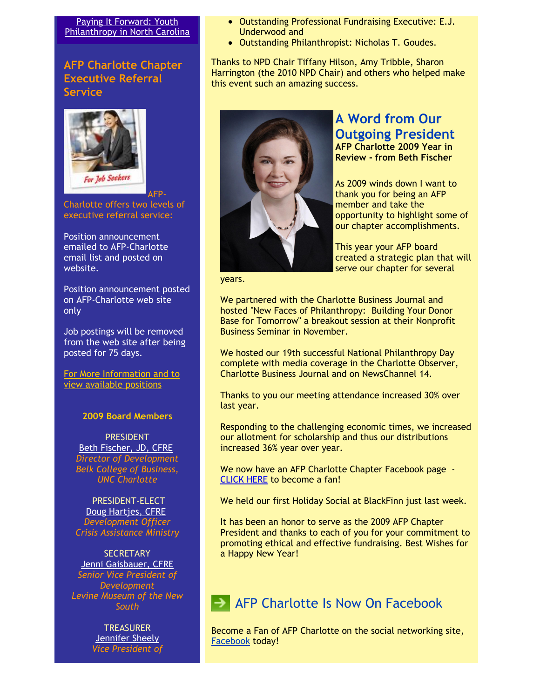#### Paying It Forward: Youth [Philanthropy in North Carolina](http://www.afp-charlotte.org/rsvp_details.html?id=2660)

### **AFP Charlotte Chapter Executive Referral Service**



Charlotte offers two levels of executive referral service:

Position announcement emailed to AFP-Charlotte email list and posted on website.

Position announcement posted on AFP-Charlotte web site only

Job postings will be removed from the web site after being posted for 75 days.

[For More Information and to](http://www.afp-charlotte.org/executivereferrals.html) view available positions

#### **2009 Board Members**

PRESIDENT [Beth Fischer, JD, CFRE](mailto:beth.fischer@uncc.edu) *Director of Development Belk College of Business, UNC Charlotte*

PRESIDENT-ELECT [Doug Hartjes, CFRE](mailto:dhartjes@crisisassistance.org) *Development Officer Crisis Assistance Ministry*

**SECRETARY** [Jenni Gaisbauer, CFRE](mailto:jgaisbauer@museumofthenewsouth.org) *Senior Vice President of Development Levine Museum of the New South*

> **TREASURER** [Jennifer Sheely](mailto:jennifers@holyangelsnc.org) *Vice President of*

- Outstanding Professional Fundraising Executive: E.J. Underwood and
- Outstanding Philanthropist: Nicholas T. Goudes.

Thanks to NPD Chair Tiffany Hilson, Amy Tribble, Sharon Harrington (the 2010 NPD Chair) and others who helped make this event such an amazing success.



#### **A Word from Our Outgoing President AFP Charlotte 2009 Year in Review - from Beth Fischer**

As 2009 winds down I want to thank you for being an AFP member and take the opportunity to highlight some of our chapter accomplishments.

This year your AFP board created a strategic plan that will serve our chapter for several

years.

We partnered with the Charlotte Business Journal and hosted "New Faces of Philanthropy: Building Your Donor Base for Tomorrow" a breakout session at their Nonprofit Business Seminar in November.

We hosted our 19th successful National Philanthropy Day complete with media coverage in the Charlotte Observer, Charlotte Business Journal and on NewsChannel 14.

Thanks to you our meeting attendance increased 30% over last year.

Responding to the challenging economic times, we increased our allotment for scholarship and thus our distributions increased 36% year over year.

We now have an AFP Charlotte Chapter Facebook page - [CLICK HERE](http://www.facebook.com/home.php?#/pages/AFP-Charlotte/190323401348?ref=ts) to become a fan!

We held our first Holiday Social at BlackFinn just last week.

It has been an honor to serve as the 2009 AFP Chapter President and thanks to each of you for your commitment to promoting ethical and effective fundraising. Best Wishes for a Happy New Year!

## AFP Charlotte Is Now On Facebook

Become a Fan of AFP Charlotte on the social networking site, [Facebook](http://www.facebook.com/home.php?#/pages/AFP-Charlotte/190323401348?ref=ts) today!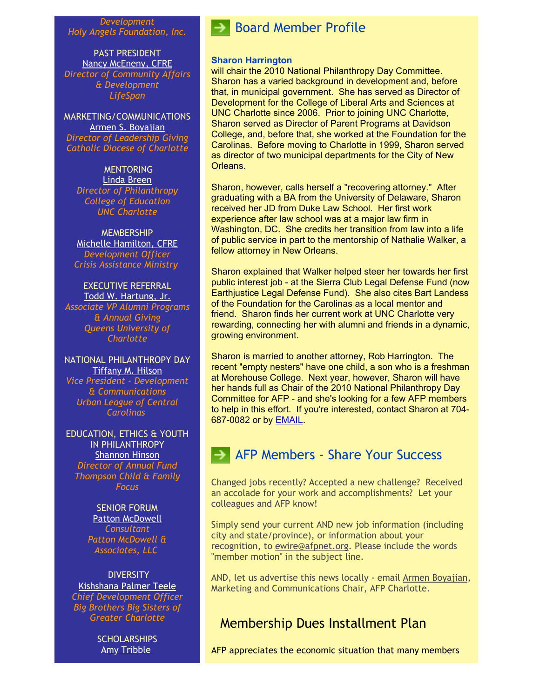*Development Holy Angels Foundation, Inc.*

PAST PRESIDENT [Nancy McEneny, CFRE](mailto:nmceneny@lifespanservices.org) *Director of Community Affairs & Development LifeSpan*

MARKETING/COMMUNICATIONS [Armen S. Boyajian](mailto:asboyajian@charlottediocese.org) *Director of Leadership Giving Catholic Diocese of Charlotte*

**MENTORING** [Linda Breen](mailto:lbreen@uncc.edu) *Director of Philanthropy College of Education UNC Charlotte*

**MEMBERSHIP** [Michelle Hamilton, CFRE](mailto:mhamilton@crisisassistance.org) *Development Officer Crisis Assistance Ministry*

EXECUTIVE REFERRAL [Todd W. Hartung, Jr.](mailto:Hartungt@queens.edu) *Associate VP Alumni Programs & Annual Giving Queens University of Charlotte*

NATIONAL PHILANTHROPY DAY [Tiffany M. Hilson](mailto:thilson@urbanleaguecc.org) *Vice President - Development & Communications Urban League of Central Carolinas*

EDUCATION, ETHICS & YOUTH IN PHILANTHROPY [Shannon Hinson](mailto:shinson@thompsoncff.org) *Director of Annual Fund Thompson Child & Family Focus*

> SENIOR FORUM [Patton McDowell](mailto:PM@pattonmcdowell.com) *Consultant Patton McDowell & Associates, LLC*

**DIVERSITY** [Kishshana Palmer Teele](mailto:kishshana.teele@gmail.com) *Chief Development Officer Big Brothers Big Sisters of Greater Charlotte*

> **SCHOLARSHIPS** [Amy Tribble](mailto:amy@cfcrights.org)

# Board Member Profile

#### **Sharon Harrington**

will chair the 2010 National Philanthropy Day Committee. Sharon has a varied background in development and, before that, in municipal government. She has served as Director of Development for the College of Liberal Arts and Sciences at UNC Charlotte since 2006. Prior to joining UNC Charlotte, Sharon served as Director of Parent Programs at Davidson College, and, before that, she worked at the Foundation for the Carolinas. Before moving to Charlotte in 1999, Sharon served as director of two municipal departments for the City of New Orleans.

Sharon, however, calls herself a "recovering attorney." After graduating with a BA from the University of Delaware, Sharon received her JD from Duke Law School. Her first work experience after law school was at a major law firm in Washington, DC. She credits her transition from law into a life of public service in part to the mentorship of Nathalie Walker, a fellow attorney in New Orleans.

Sharon explained that Walker helped steer her towards her first public interest job - at the Sierra Club Legal Defense Fund (now Earthjustice Legal Defense Fund). She also cites Bart Landess of the Foundation for the Carolinas as a local mentor and friend. Sharon finds her current work at UNC Charlotte very rewarding, connecting her with alumni and friends in a dynamic, growing environment.

Sharon is married to another attorney, Rob Harrington. The recent "empty nesters" have one child, a son who is a freshman at Morehouse College. Next year, however, Sharon will have her hands full as Chair of the 2010 National Philanthropy Day Committee for AFP - and she's looking for a few AFP members to help in this effort. If you're interested, contact Sharon at 704- 687-0082 or by [EMAIL.](mailto:sharrin@uncc.edu)

# **AFP Members - Share Your Success**

Changed jobs recently? Accepted a new challenge? Received an accolade for your work and accomplishments? Let your colleagues and AFP know!

Simply send your current AND new job information (including city and state/province), or information about your recognition, to [ewire@afpnet.org.](mailto:ewire@afpnet.org) Please include the words "member motion" in the subject line.

AND, let us advertise this news locally - email [Armen Boyajian,](mailto:asboyajian@charlottediocese.org) Marketing and Communications Chair, AFP Charlotte.

## Membership Dues Installment Plan

AFP appreciates the economic situation that many members